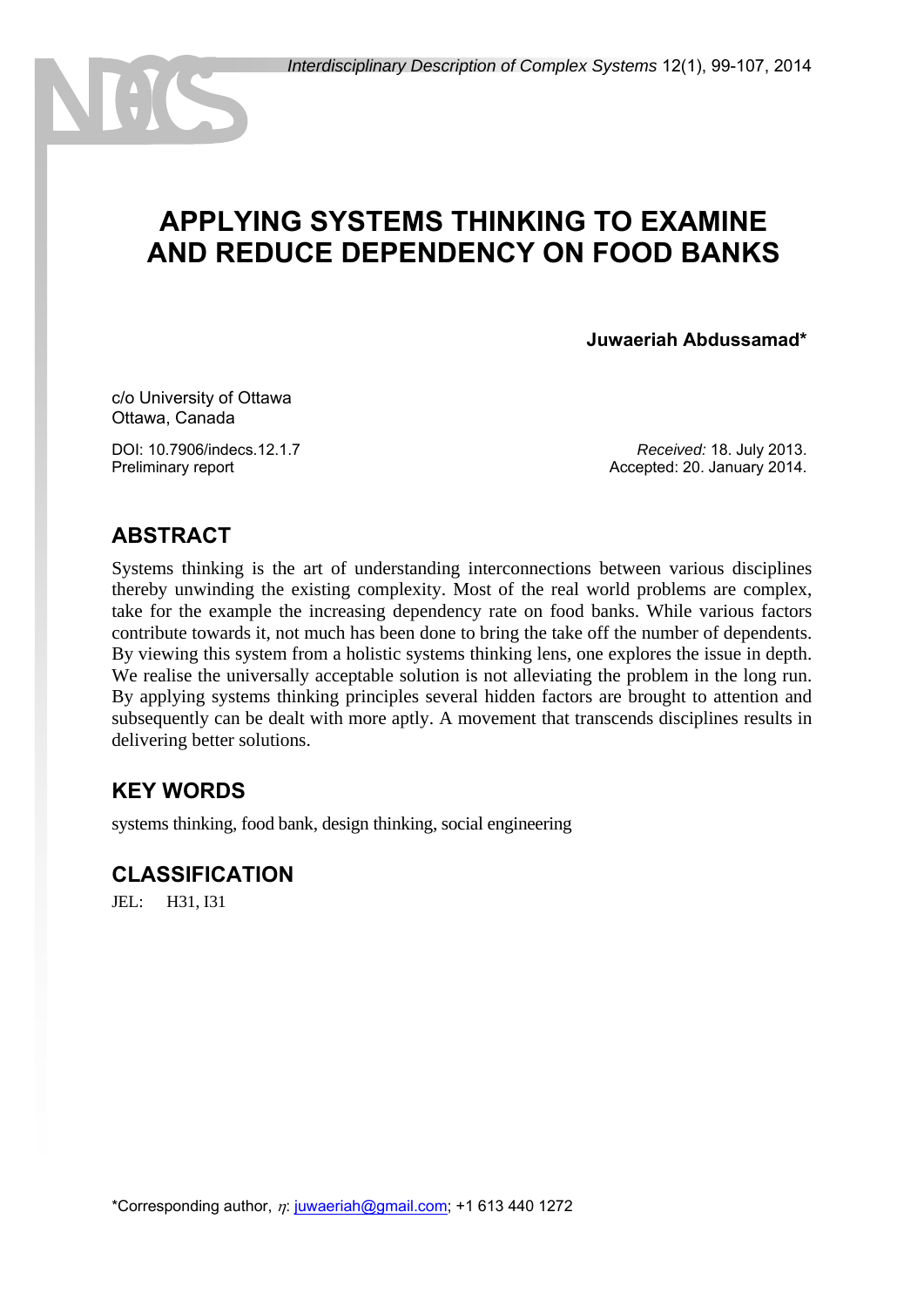# **APPLYING SYSTEMS THINKING TO EXAMINE AND REDUCE DEPENDENCY ON FOOD BANKS**

**Juwaeriah Abdussamad\***

c/o University of Ottawa Ottawa, Canada

DOI: 10.7906/indecs.12.1.7 Preliminary report

*Received:* 18. July 2013. Accepted: 20. January 2014.

# **ABSTRACT**

Systems thinking is the art of understanding interconnections between various disciplines thereby unwinding the existing complexity. Most of the real world problems are complex, take for the example the increasing dependency rate on food banks. While various factors contribute towards it, not much has been done to bring the take off the number of dependents. By viewing this system from a holistic systems thinking lens, one explores the issue in depth. We realise the universally acceptable solution is not alleviating the problem in the long run. By applying systems thinking principles several hidden factors are brought to attention and subsequently can be dealt with more aptly. A movement that transcends disciplines results in delivering better solutions.

# **KEY WORDS**

systems thinking, food bank, design thinking, social engineering

### **CLASSIFICATION**

JEL: H31, I31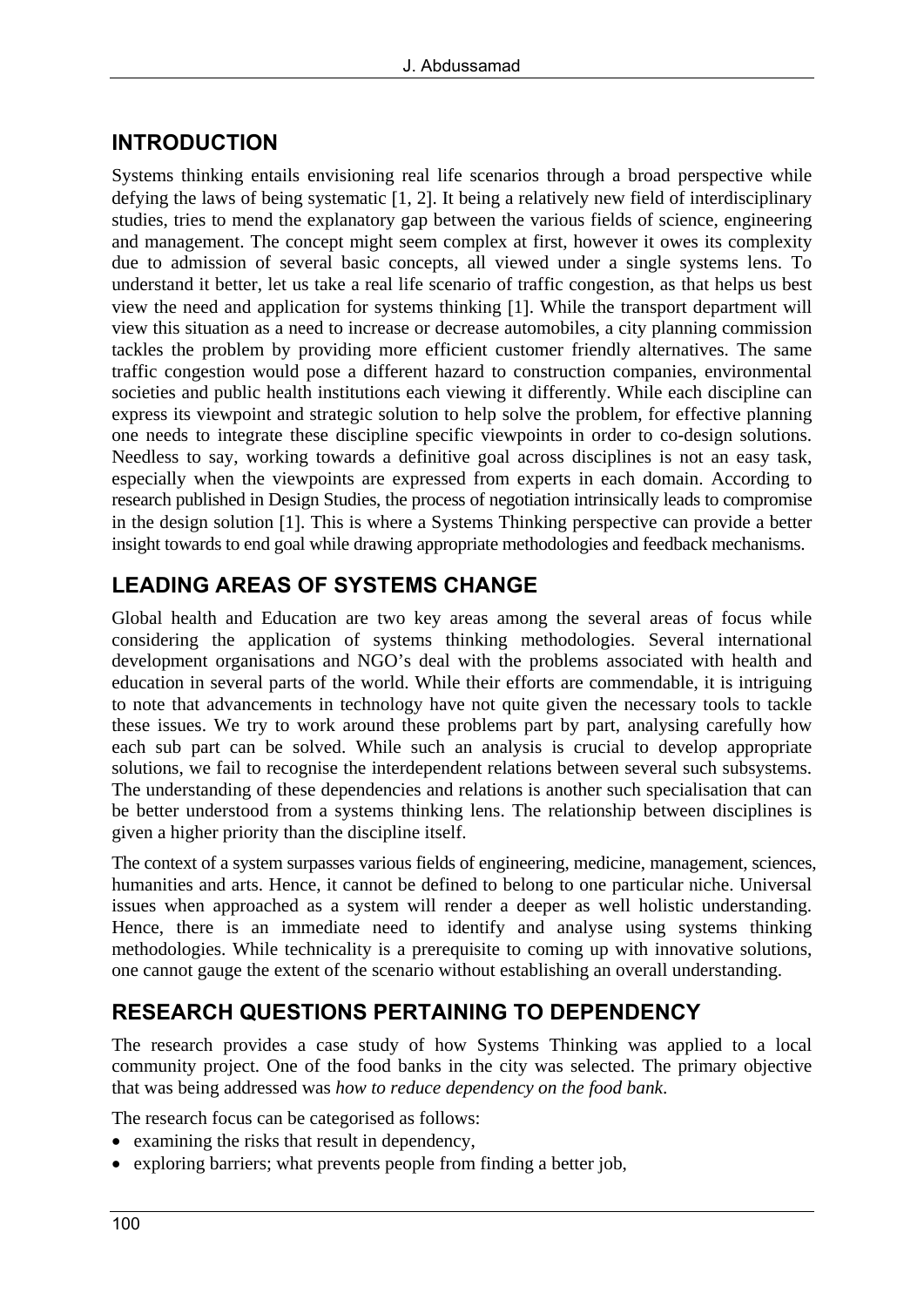# **INTRODUCTION**

Systems thinking entails envisioning real life scenarios through a broad perspective while defying the laws of being systematic  $[1, 2]$ . It being a relatively new field of interdisciplinary studies, tries to mend the explanatory gap between the various fields of science, engineering and management. The concept might seem complex at first, however it owes its complexity due to admission of several basic concepts, all viewed under a single systems lens. To understand it better, let us take a real life scenario of traffic congestion, as that helps us best view the need and application for systems thinking [1]. While the transport department will view this situation as a need to increase or decrease automobiles, a city planning commission tackles the problem by providing more efficient customer friendly alternatives. The same traffic congestion would pose a different hazard to construction companies, environmental societies and public health institutions each viewing it differently. While each discipline can express its viewpoint and strategic solution to help solve the problem, for effective planning one needs to integrate these discipline specific viewpoints in order to co-design solutions. Needless to say, working towards a definitive goal across disciplines is not an easy task, especially when the viewpoints are expressed from experts in each domain. According to research published in Design Studies, the process of negotiation intrinsically leads to compromise in the design solution [1]. This is where a Systems Thinking perspective can provide a better insight towards to end goal while drawing appropriate methodologies and feedback mechanisms.

# **LEADING AREAS OF SYSTEMS CHANGE**

Global health and Education are two key areas among the several areas of focus while considering the application of systems thinking methodologies. Several international development organisations and NGO's deal with the problems associated with health and education in several parts of the world. While their efforts are commendable, it is intriguing to note that advancements in technology have not quite given the necessary tools to tackle these issues. We try to work around these problems part by part, analysing carefully how each sub part can be solved. While such an analysis is crucial to develop appropriate solutions, we fail to recognise the interdependent relations between several such subsystems. The understanding of these dependencies and relations is another such specialisation that can be better understood from a systems thinking lens. The relationship between disciplines is given a higher priority than the discipline itself.

The context of a system surpasses various fields of engineering, medicine, management, sciences, humanities and arts. Hence, it cannot be defined to belong to one particular niche. Universal issues when approached as a system will render a deeper as well holistic understanding. Hence, there is an immediate need to identify and analyse using systems thinking methodologies. While technicality is a prerequisite to coming up with innovative solutions, one cannot gauge the extent of the scenario without establishing an overall understanding.

# **RESEARCH QUESTIONS PERTAINING TO DEPENDENCY**

The research provides a case study of how Systems Thinking was applied to a local community project. One of the food banks in the city was selected. The primary objective that was being addressed was *how to reduce dependency on the food bank*.

The research focus can be categorised as follows:

- examining the risks that result in dependency,
- exploring barriers; what prevents people from finding a better job,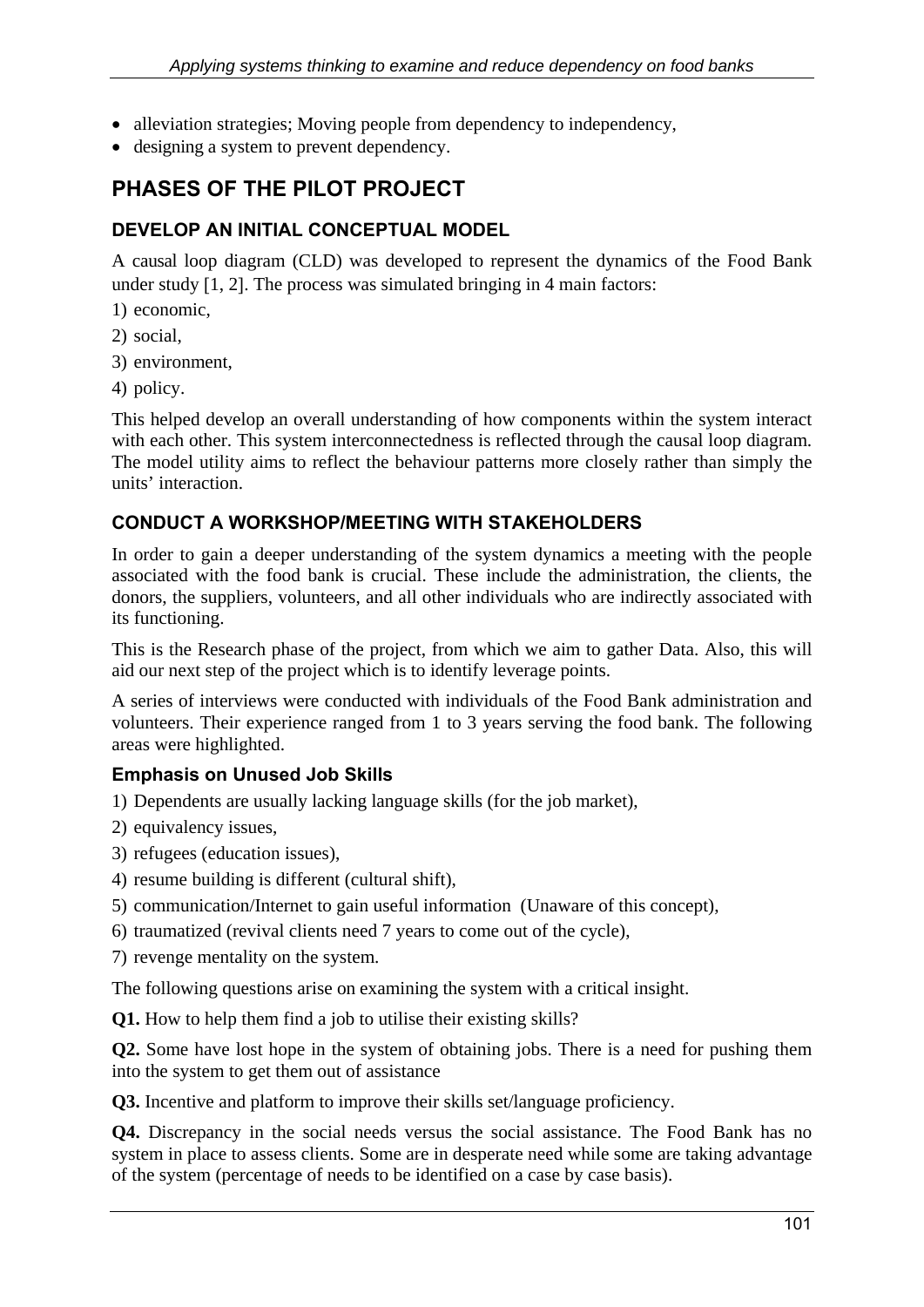- alleviation strategies; Moving people from dependency to independency,
- designing a system to prevent dependency.

# **PHASES OF THE PILOT PROJECT**

### **DEVELOP AN INITIAL CONCEPTUAL MODEL**

A causal loop diagram (CLD) was developed to represent the dynamics of the Food Bank under study  $[1, 2]$ . The process was simulated bringing in 4 main factors:

1) economic,

2) social,

3) environment,

4) policy.

This helped develop an overall understanding of how components within the system interact with each other. This system interconnectedness is reflected through the causal loop diagram. The model utility aims to reflect the behaviour patterns more closely rather than simply the units' interaction.

### **CONDUCT A WORKSHOP/MEETING WITH STAKEHOLDERS**

In order to gain a deeper understanding of the system dynamics a meeting with the people associated with the food bank is crucial. These include the administration, the clients, the donors, the suppliers, volunteers, and all other individuals who are indirectly associated with its functioning.

This is the Research phase of the project, from which we aim to gather Data. Also, this will aid our next step of the project which is to identify leverage points.

A series of interviews were conducted with individuals of the Food Bank administration and volunteers. Their experience ranged from 1 to 3 years serving the food bank. The following areas were highlighted.

### **Emphasis on Unused Job Skills**

1) Dependents are usually lacking language skills (for the job market),

- 2) equivalency issues,
- 3) refugees (education issues),
- 4) resume building is different (cultural shift),
- 5) communication/Internet to gain useful information (Unaware of this concept),
- 6) traumatized (revival clients need 7 years to come out of the cycle),

7) revenge mentality on the system.

The following questions arise on examining the system with a critical insight.

**Q1.** How to help them find a job to utilise their existing skills?

**Q2.** Some have lost hope in the system of obtaining jobs. There is a need for pushing them into the system to get them out of assistance

**Q3.** Incentive and platform to improve their skills set/language proficiency.

**Q4.** Discrepancy in the social needs versus the social assistance. The Food Bank has no system in place to assess clients. Some are in desperate need while some are taking advantage of the system (percentage of needs to be identified on a case by case basis).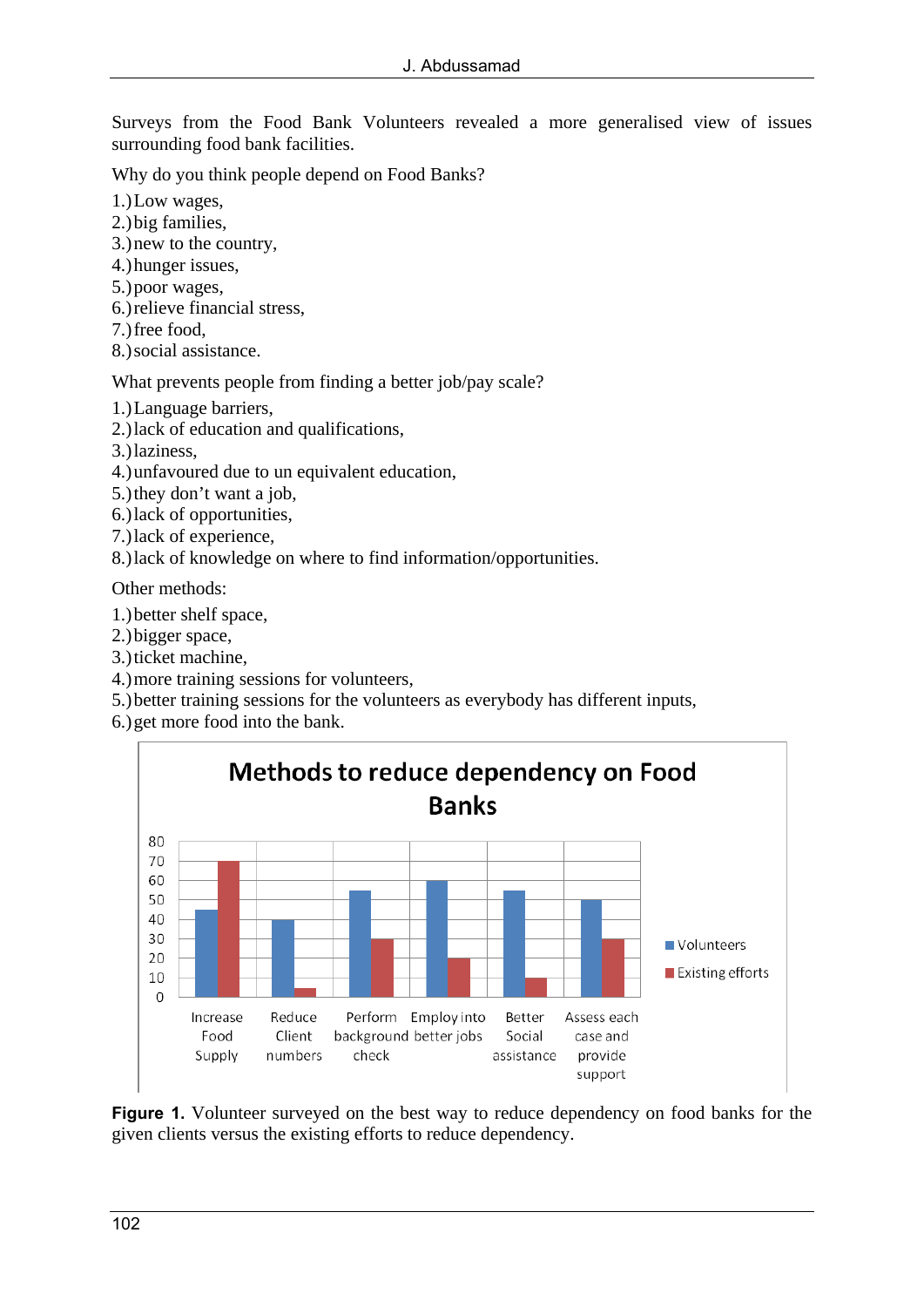Surveys from the Food Bank Volunteers revealed a more generalised view of issues surrounding food bank facilities.

Why do you think people depend on Food Banks?

- 1.)Low wages,
- 2.)big families,
- 3.)new to the country,
- 4.)hunger issues,
- 5.)poor wages,
- 6.)relieve financial stress,
- 7.)free food,
- 8.)social assistance.

What prevents people from finding a better job/pay scale?

- 1.)Language barriers,
- 2.)lack of education and qualifications,
- 3.)laziness,
- 4.)unfavoured due to un equivalent education,
- 5.)they don't want a job,
- 6.)lack of opportunities,
- 7.)lack of experience,
- 8.)lack of knowledge on where to find information/opportunities.

Other methods:

- 1.)better shelf space,
- 2.)bigger space,
- 3.)ticket machine,
- 4.)more training sessions for volunteers,
- 5.)better training sessions for the volunteers as everybody has different inputs,
- 6.)get more food into the bank.



**Figure 1.** Volunteer surveyed on the best way to reduce dependency on food banks for the given clients versus the existing efforts to reduce dependency.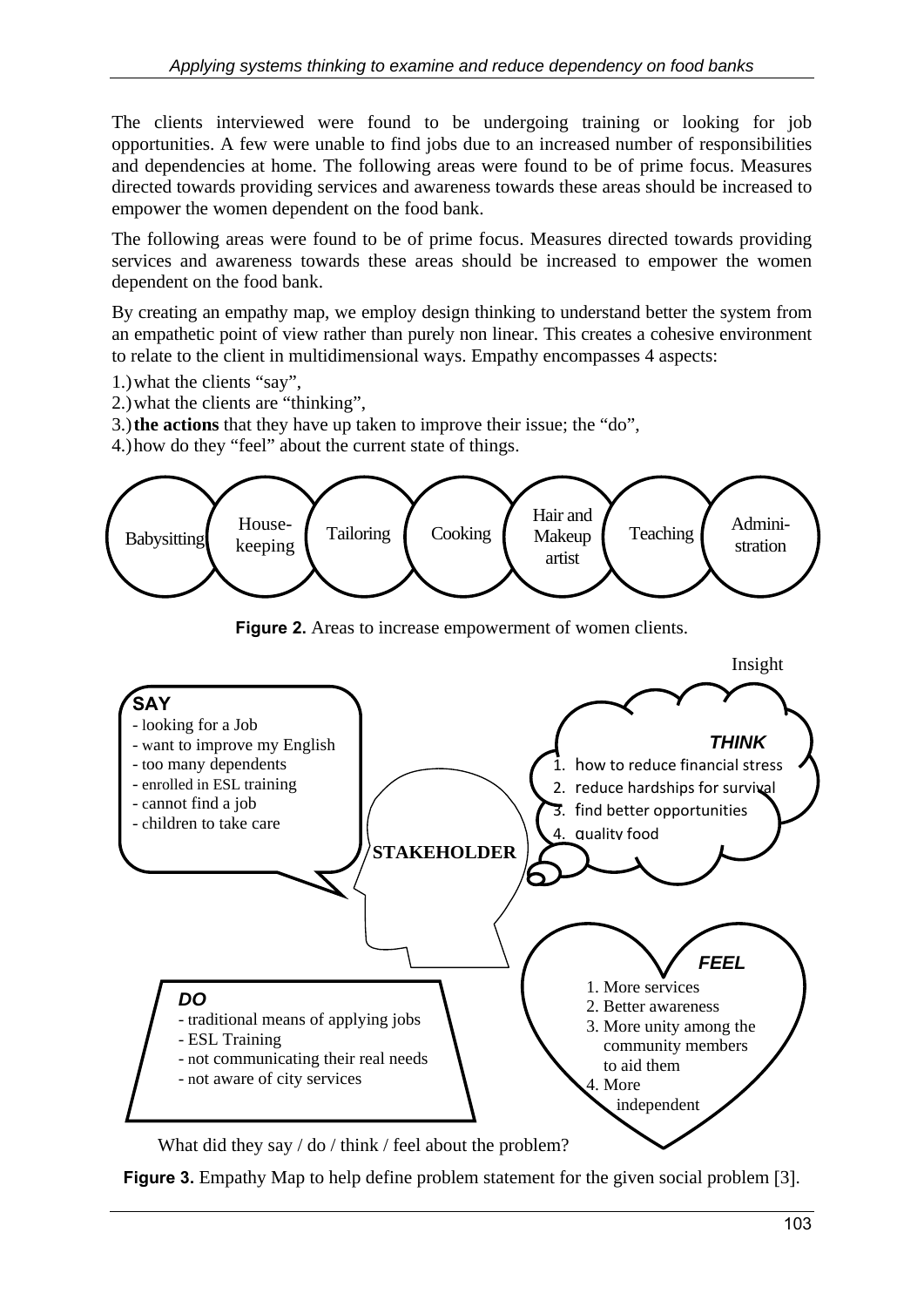The clients interviewed were found to be undergoing training or looking for job opportunities. A few were unable to find jobs due to an increased number of responsibilities and dependencies at home. The following areas were found to be of prime focus. Measures directed towards providing services and awareness towards these areas should be increased to empower the women dependent on the food bank.

The following areas were found to be of prime focus. Measures directed towards providing services and awareness towards these areas should be increased to empower the women dependent on the food bank.

By creating an empathy map, we employ design thinking to understand better the system from an empathetic point of view rather than purely non linear. This creates a cohesive environment to relate to the client in multidimensional ways. Empathy encompasses 4 aspects:

- 1.)what the clients "say",
- 2.)what the clients are "thinking",
- 3.)**the actions** that they have up taken to improve their issue; the "do",
- 4.)how do they "feel" about the current state of things.



**Figure 2.** Areas to increase empowerment of women clients.



What did they say / do / think / feel about the problem?

**Figure 3.** Empathy Map to help define problem statement for the given social problem [3].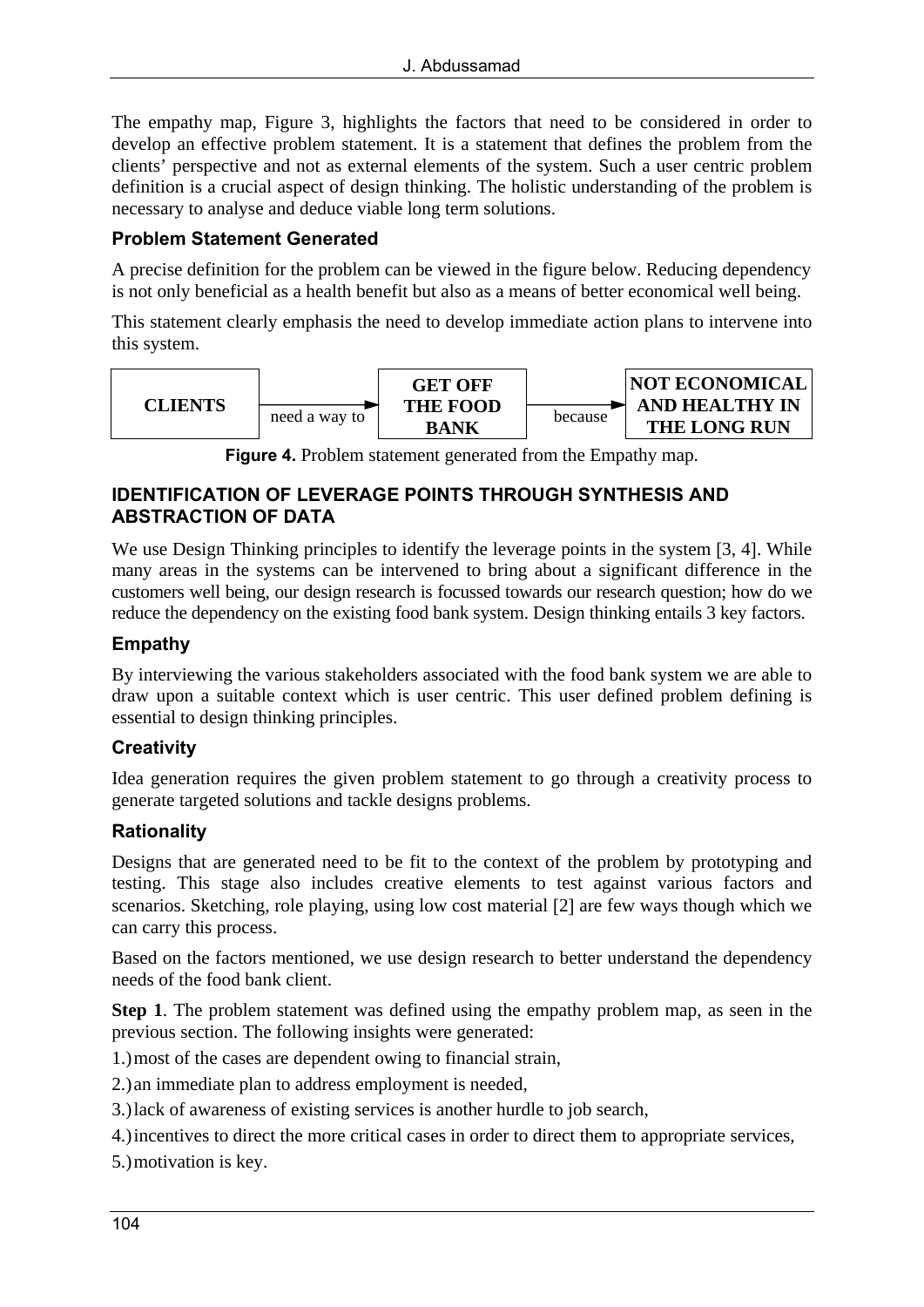The empathy map, Figure 3, highlights the factors that need to be considered in order to develop an effective problem statement. It is a statement that defines the problem from the clients' perspective and not as external elements of the system. Such a user centric problem definition is a crucial aspect of design thinking. The holistic understanding of the problem is necessary to analyse and deduce viable long term solutions.

#### **Problem Statement Generated**

A precise definition for the problem can be viewed in the figure below. Reducing dependency is not only beneficial as a health benefit but also as a means of better economical well being.

This statement clearly emphasis the need to develop immediate action plans to intervene into this system.



**Figure 4.** Problem statement generated from the Empathy map.

#### **IDENTIFICATION OF LEVERAGE POINTS THROUGH SYNTHESIS AND ABSTRACTION OF DATA**

We use Design Thinking principles to identify the leverage points in the system [3, 4]. While many areas in the systems can be intervened to bring about a significant difference in the customers well being, our design research is focussed towards our research question; how do we reduce the dependency on the existing food bank system. Design thinking entails 3 key factors.

### **Empathy**

By interviewing the various stakeholders associated with the food bank system we are able to draw upon a suitable context which is user centric. This user defined problem defining is essential to design thinking principles.

### **Creativity**

Idea generation requires the given problem statement to go through a creativity process to generate targeted solutions and tackle designs problems.

### **Rationality**

Designs that are generated need to be fit to the context of the problem by prototyping and testing. This stage also includes creative elements to test against various factors and scenarios. Sketching, role playing, using low cost material [2] are few ways though which we can carry this process.

Based on the factors mentioned, we use design research to better understand the dependency needs of the food bank client.

**Step 1**. The problem statement was defined using the empathy problem map, as seen in the previous section. The following insights were generated:

1.)most of the cases are dependent owing to financial strain,

2.)an immediate plan to address employment is needed,

3.)lack of awareness of existing services is another hurdle to job search,

4.)incentives to direct the more critical cases in order to direct them to appropriate services,

5.)motivation is key.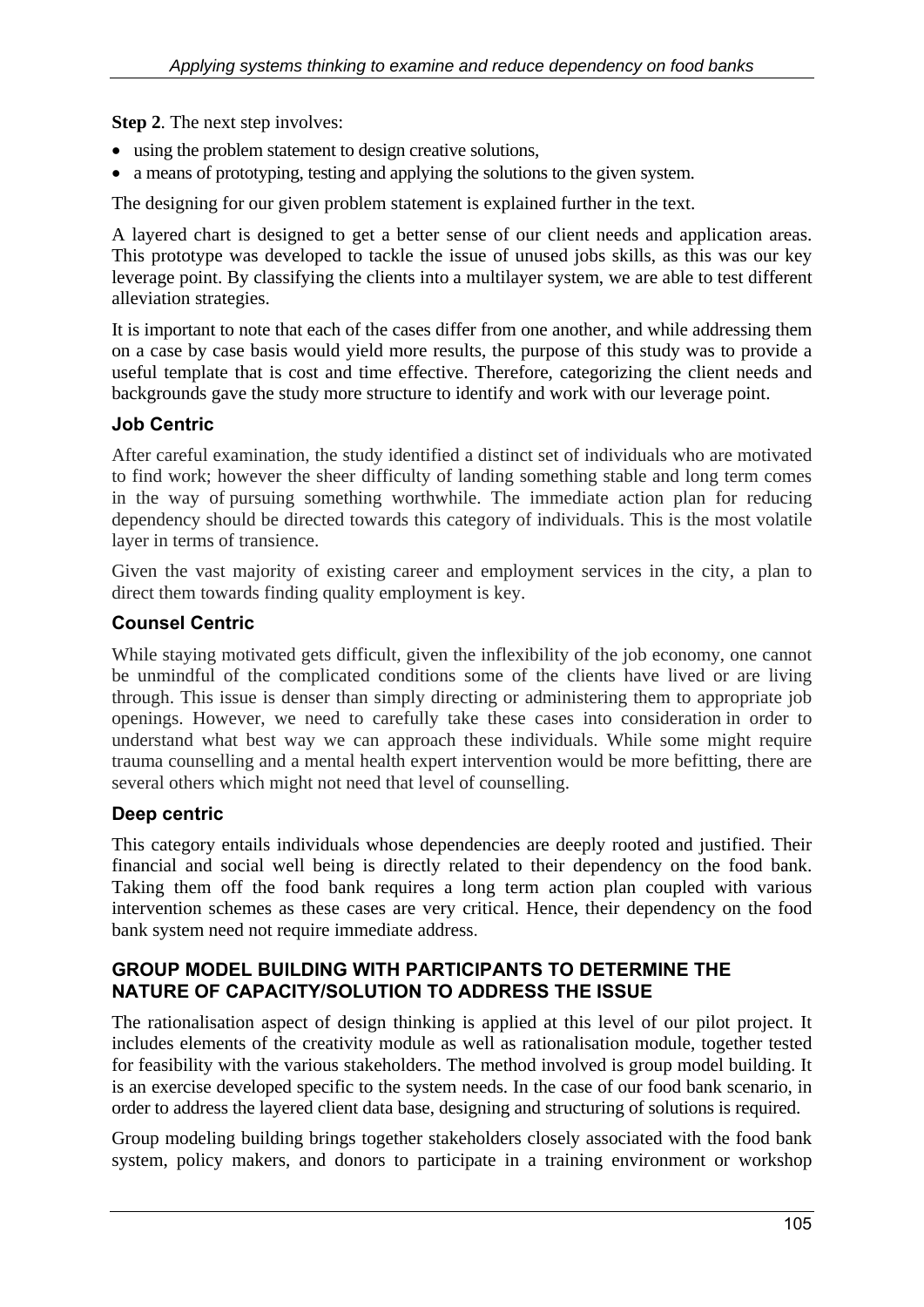**Step 2**. The next step involves:

- using the problem statement to design creative solutions,
- a means of prototyping, testing and applying the solutions to the given system.

The designing for our given problem statement is explained further in the text.

A layered chart is designed to get a better sense of our client needs and application areas. This prototype was developed to tackle the issue of unused jobs skills, as this was our key leverage point. By classifying the clients into a multilayer system, we are able to test different alleviation strategies.

It is important to note that each of the cases differ from one another, and while addressing them on a case by case basis would yield more results, the purpose of this study was to provide a useful template that is cost and time effective. Therefore, categorizing the client needs and backgrounds gave the study more structure to identify and work with our leverage point.

### **Job Centric**

After careful examination, the study identified a distinct set of individuals who are motivated to find work; however the sheer difficulty of landing something stable and long term comes in the way of pursuing something worthwhile. The immediate action plan for reducing dependency should be directed towards this category of individuals. This is the most volatile layer in terms of transience.

Given the vast majority of existing career and employment services in the city, a plan to direct them towards finding quality employment is key.

### **Counsel Centric**

While staying motivated gets difficult, given the inflexibility of the job economy, one cannot be unmindful of the complicated conditions some of the clients have lived or are living through. This issue is denser than simply directing or administering them to appropriate job openings. However, we need to carefully take these cases into consideration in order to understand what best way we can approach these individuals. While some might require trauma counselling and a mental health expert intervention would be more befitting, there are several others which might not need that level of counselling.

### **Deep centric**

This category entails individuals whose dependencies are deeply rooted and justified. Their financial and social well being is directly related to their dependency on the food bank. Taking them off the food bank requires a long term action plan coupled with various intervention schemes as these cases are very critical. Hence, their dependency on the food bank system need not require immediate address.

#### **GROUP MODEL BUILDING WITH PARTICIPANTS TO DETERMINE THE NATURE OF CAPACITY/SOLUTION TO ADDRESS THE ISSUE**

The rationalisation aspect of design thinking is applied at this level of our pilot project. It includes elements of the creativity module as well as rationalisation module, together tested for feasibility with the various stakeholders. The method involved is group model building. It is an exercise developed specific to the system needs. In the case of our food bank scenario, in order to address the layered client data base, designing and structuring of solutions is required.

Group modeling building brings together stakeholders closely associated with the food bank system, policy makers, and donors to participate in a training environment or workshop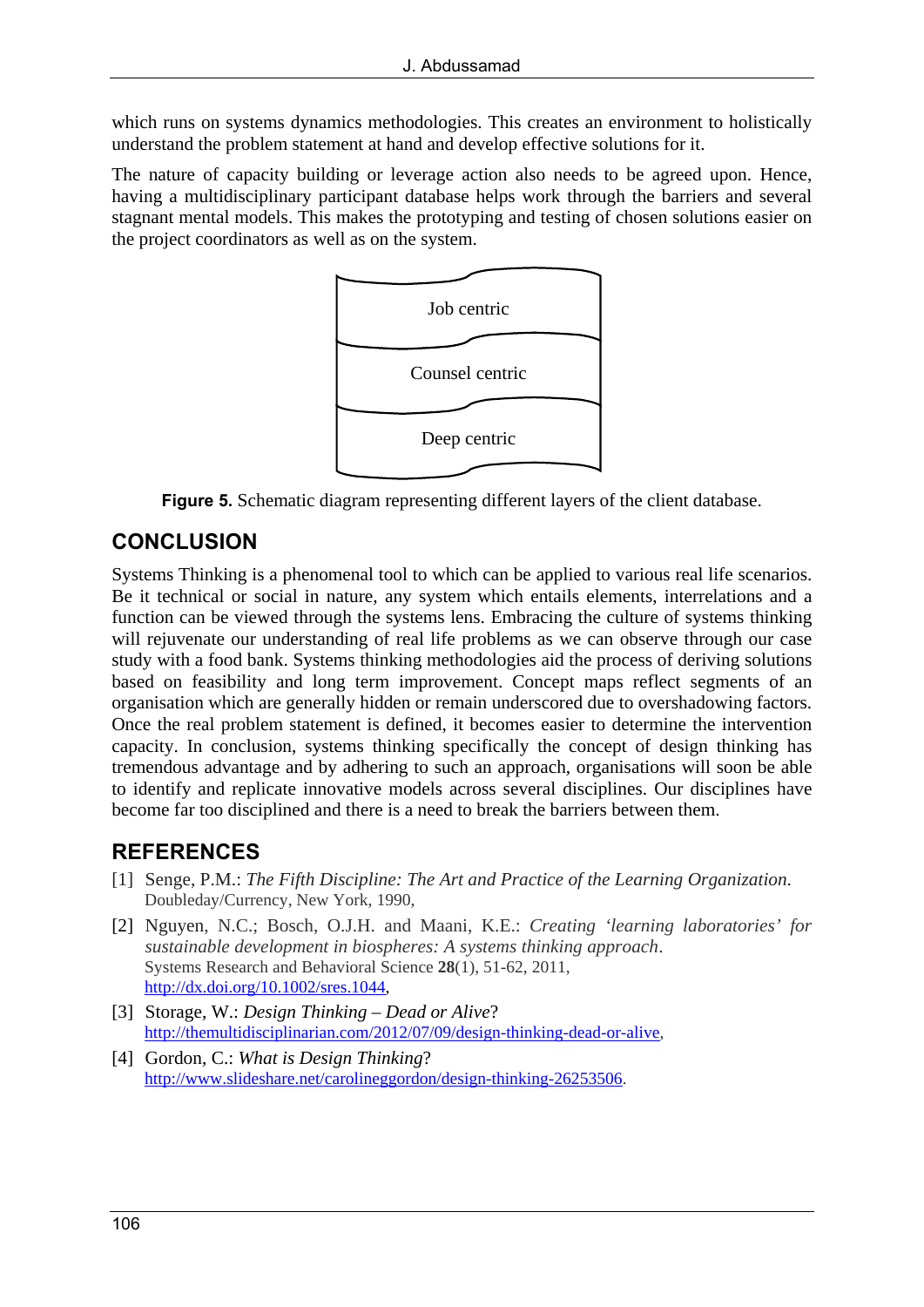which runs on systems dynamics methodologies. This creates an environment to holistically understand the problem statement at hand and develop effective solutions for it.

The nature of capacity building or leverage action also needs to be agreed upon. Hence, having a multidisciplinary participant database helps work through the barriers and several stagnant mental models. This makes the prototyping and testing of chosen solutions easier on the project coordinators as well as on the system.



**Figure 5.** Schematic diagram representing different layers of the client database.

# **CONCLUSION**

Systems Thinking is a phenomenal tool to which can be applied to various real life scenarios. Be it technical or social in nature, any system which entails elements, interrelations and a function can be viewed through the systems lens. Embracing the culture of systems thinking will rejuvenate our understanding of real life problems as we can observe through our case study with a food bank. Systems thinking methodologies aid the process of deriving solutions based on feasibility and long term improvement. Concept maps reflect segments of an organisation which are generally hidden or remain underscored due to overshadowing factors. Once the real problem statement is defined, it becomes easier to determine the intervention capacity. In conclusion, systems thinking specifically the concept of design thinking has tremendous advantage and by adhering to such an approach, organisations will soon be able to identify and replicate innovative models across several disciplines. Our disciplines have become far too disciplined and there is a need to break the barriers between them.

# **REFERENCES**

- [1] Senge, P.M.: *The Fifth Discipline: The Art and Practice of the Learning Organization*. Doubleday/Currency, New York, 1990,
- [2] Nguyen, N.C.; Bosch, O.J.H. and Maani, K.E.: *Creating 'learning laboratories' for sustainable development in biospheres: A systems thinking approach*. Systems Research and Behavioral Science **28**(1), 51-62, 2011, http://dx.doi.org/10.1002/sres.1044,
- [3] Storage, W.: *Design Thinking Dead or Alive*? http://themultidisciplinarian.com/2012/07/09/design-thinking-dead-or-alive,
- [4] Gordon, C.: *What is Design Thinking*? http://www.slideshare.net/carolineggordon/design-thinking-26253506.